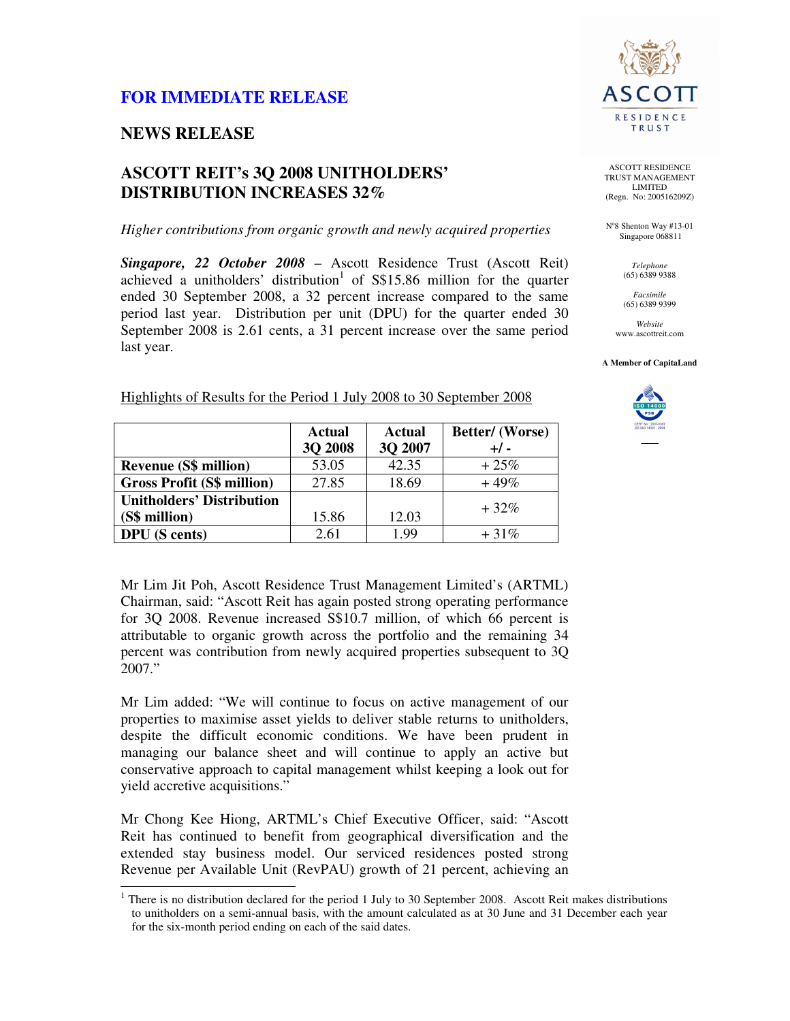# **FOR IMMEDIATE RELEASE**

### **NEWS RELEASE**

 $\overline{a}$ 

## **ASCOTT REIT's 3Q 2008 UNITHOLDERS' DISTRIBUTION INCREASES 32%**

#### *Higher contributions from organic growth and newly acquired properties*

*Singapore, 22 October 2008* – Ascott Residence Trust (Ascott Reit) achieved a unitholders' distribution<sup>1</sup> of  $S$15.86$  million for the quarter ended 30 September 2008, a 32 percent increase compared to the same period last year. Distribution per unit (DPU) for the quarter ended 30 September 2008 is 2.61 cents, a 31 percent increase over the same period last year.



ASCOTT RESIDENCE TRUST MANAGEMENT LIMITED (Regn. No: 200516209Z)

N°8 Shenton Way #13-01 Singapore 068811

> *Telephone*  (65) 6389 9388

*Facsimile*  (65) 6389 9399

*Website*  www.ascottreit.com

**A Member of CapitaLand** 



| Highlights of Results for the Period 1 July 2008 to 30 September 2008 |  | $\Lambda$ otrol $\Lambda$ otrol $\Lambda$ |
|-----------------------------------------------------------------------|--|-------------------------------------------|
|                                                                       |  |                                           |

|                                   | <b>Actual</b>  | <b>Actual</b> | Better/(Worse) |
|-----------------------------------|----------------|---------------|----------------|
|                                   | <b>3O 2008</b> | 3Q 2007       | $+/-$          |
| <b>Revenue (S\$ million)</b>      | 53.05          | 42.35         | $+25%$         |
| <b>Gross Profit (S\$ million)</b> | 27.85          | 18.69         | $+49%$         |
| <b>Unitholders' Distribution</b>  |                |               | $+32\%$        |
| (S\$ million)                     | 15.86          | 12.03         |                |
| <b>DPU</b> (S cents)              | 2.61           | 1.99          | $+31\%$        |

Mr Lim Jit Poh, Ascott Residence Trust Management Limited's (ARTML) Chairman, said: "Ascott Reit has again posted strong operating performance for 3Q 2008. Revenue increased S\$10.7 million, of which 66 percent is attributable to organic growth across the portfolio and the remaining 34 percent was contribution from newly acquired properties subsequent to 3Q 2007."

Mr Lim added: "We will continue to focus on active management of our properties to maximise asset yields to deliver stable returns to unitholders, despite the difficult economic conditions. We have been prudent in managing our balance sheet and will continue to apply an active but conservative approach to capital management whilst keeping a look out for yield accretive acquisitions."

Mr Chong Kee Hiong, ARTML's Chief Executive Officer, said: "Ascott Reit has continued to benefit from geographical diversification and the extended stay business model. Our serviced residences posted strong Revenue per Available Unit (RevPAU) growth of 21 percent, achieving an

 $1$  There is no distribution declared for the period 1 July to 30 September 2008. Ascott Reit makes distributions to unitholders on a semi-annual basis, with the amount calculated as at 30 June and 31 December each year for the six-month period ending on each of the said dates.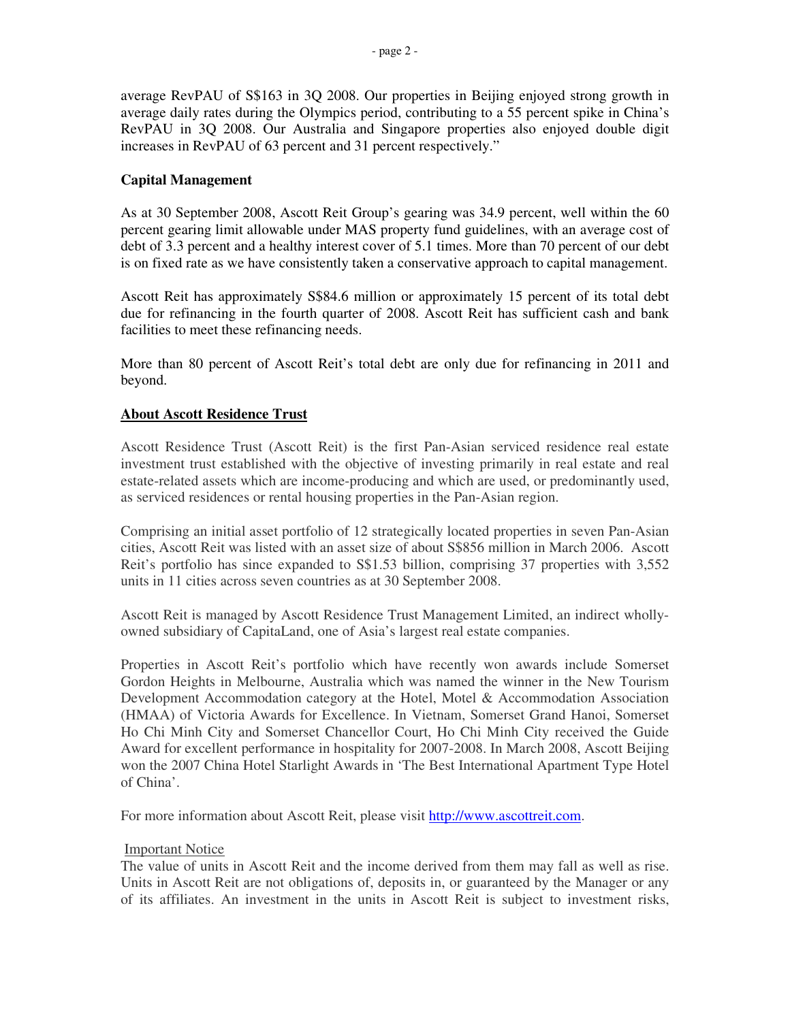average RevPAU of S\$163 in 3Q 2008. Our properties in Beijing enjoyed strong growth in average daily rates during the Olympics period, contributing to a 55 percent spike in China's RevPAU in 3Q 2008. Our Australia and Singapore properties also enjoyed double digit increases in RevPAU of 63 percent and 31 percent respectively."

### **Capital Management**

As at 30 September 2008, Ascott Reit Group's gearing was 34.9 percent, well within the 60 percent gearing limit allowable under MAS property fund guidelines, with an average cost of debt of 3.3 percent and a healthy interest cover of 5.1 times. More than 70 percent of our debt is on fixed rate as we have consistently taken a conservative approach to capital management.

Ascott Reit has approximately S\$84.6 million or approximately 15 percent of its total debt due for refinancing in the fourth quarter of 2008. Ascott Reit has sufficient cash and bank facilities to meet these refinancing needs.

More than 80 percent of Ascott Reit's total debt are only due for refinancing in 2011 and beyond.

### **About Ascott Residence Trust**

Ascott Residence Trust (Ascott Reit) is the first Pan-Asian serviced residence real estate investment trust established with the objective of investing primarily in real estate and real estate-related assets which are income-producing and which are used, or predominantly used, as serviced residences or rental housing properties in the Pan-Asian region.

Comprising an initial asset portfolio of 12 strategically located properties in seven Pan-Asian cities, Ascott Reit was listed with an asset size of about S\$856 million in March 2006. Ascott Reit's portfolio has since expanded to S\$1.53 billion, comprising 37 properties with 3,552 units in 11 cities across seven countries as at 30 September 2008.

Ascott Reit is managed by Ascott Residence Trust Management Limited, an indirect whollyowned subsidiary of CapitaLand, one of Asia's largest real estate companies.

Properties in Ascott Reit's portfolio which have recently won awards include Somerset Gordon Heights in Melbourne, Australia which was named the winner in the New Tourism Development Accommodation category at the Hotel, Motel & Accommodation Association (HMAA) of Victoria Awards for Excellence. In Vietnam, Somerset Grand Hanoi, Somerset Ho Chi Minh City and Somerset Chancellor Court, Ho Chi Minh City received the Guide Award for excellent performance in hospitality for 2007-2008. In March 2008, Ascott Beijing won the 2007 China Hotel Starlight Awards in 'The Best International Apartment Type Hotel of China'.

For more information about Ascott Reit, please visit http://www.ascottreit.com.

#### Important Notice

The value of units in Ascott Reit and the income derived from them may fall as well as rise. Units in Ascott Reit are not obligations of, deposits in, or guaranteed by the Manager or any of its affiliates. An investment in the units in Ascott Reit is subject to investment risks,